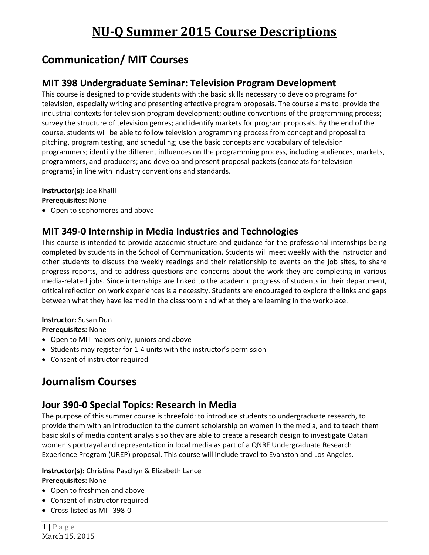# **Communication/ MIT Courses**

### **MIT 398 Undergraduate Seminar: Television Program Development**

This course is designed to provide students with the basic skills necessary to develop programs for television, especially writing and presenting effective program proposals. The course aims to: provide the industrial contexts for television program development; outline conventions of the programming process; survey the structure of television genres; and identify markets for program proposals. By the end of the course, students will be able to follow television programming process from concept and proposal to pitching, program testing, and scheduling; use the basic concepts and vocabulary of television programmers; identify the different influences on the programming process, including audiences, markets, programmers, and producers; and develop and present proposal packets (concepts for television programs) in line with industry conventions and standards.

#### **Instructor(s):** Joe Khalil

**Prerequisites:** None

Open to sophomores and above

#### **MIT 349‐0 Internship in Media Industries and Technologies**

This course is intended to provide academic structure and guidance for the professional internships being completed by students in the School of Communication. Students will meet weekly with the instructor and other students to discuss the weekly readings and their relationship to events on the job sites, to share progress reports, and to address questions and concerns about the work they are completing in various media‐related jobs. Since internships are linked to the academic progress of students in their department, critical reflection on work experiences is a necessity. Students are encouraged to explore the links and gaps between what they have learned in the classroom and what they are learning in the workplace.

#### **Instructor:** Susan Dun

**Prerequisites:** None

- Open to MIT majors only, juniors and above
- Students may register for 1-4 units with the instructor's permission
- Consent of instructor required

## **Journalism Courses**

### **Jour 390‐0 Special Topics: Research in Media**

The purpose of this summer course is threefold: to introduce students to undergraduate research, to provide them with an introduction to the current scholarship on women in the media, and to teach them basic skills of media content analysis so they are able to create a research design to investigate Qatari women's portrayal and representation in local media as part of a QNRF Undergraduate Research Experience Program (UREP) proposal. This course will include travel to Evanston and Los Angeles.

#### **Instructor(s):** Christina Paschyn & Elizabeth Lance **Prerequisites:** None

- Open to freshmen and above
- Consent of instructor required
- Cross‐listed as MIT 398‐0